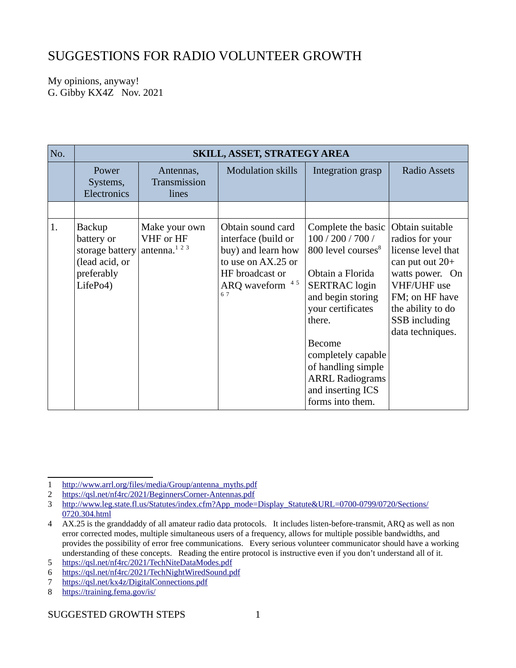## SUGGESTIONS FOR RADIO VOLUNTEER GROWTH

My opinions, anyway! G. Gibby KX4Z Nov. 2021

| No. | <b>SKILL, ASSET, STRATEGY AREA</b>                                                         |                                                       |                                                                                                                                  |                                                                                                                                                                                                                                                                                                           |                                                                                                                                                                                             |  |
|-----|--------------------------------------------------------------------------------------------|-------------------------------------------------------|----------------------------------------------------------------------------------------------------------------------------------|-----------------------------------------------------------------------------------------------------------------------------------------------------------------------------------------------------------------------------------------------------------------------------------------------------------|---------------------------------------------------------------------------------------------------------------------------------------------------------------------------------------------|--|
|     | Power<br>Systems,<br>Electronics                                                           | Antennas,<br>Transmission<br>lines                    | <b>Modulation skills</b>                                                                                                         | Integration grasp                                                                                                                                                                                                                                                                                         | <b>Radio Assets</b>                                                                                                                                                                         |  |
|     |                                                                                            |                                                       |                                                                                                                                  |                                                                                                                                                                                                                                                                                                           |                                                                                                                                                                                             |  |
| 1.  | <b>Backup</b><br>battery or<br>storage battery<br>(lead acid, or<br>preferably<br>LifePo4) | Make your own<br>VHF or HF<br>antenna. <sup>123</sup> | Obtain sound card<br>interface (build or<br>buy) and learn how<br>to use on AX.25 or<br>HF broadcast or<br>ARQ waveform 45<br>67 | Complete the basic<br>100 / 200 / 700 /<br>800 level courses <sup>8</sup><br>Obtain a Florida<br><b>SERTRAC</b> login<br>and begin storing<br>your certificates<br>there.<br><b>Become</b><br>completely capable<br>of handling simple<br><b>ARRL Radiograms</b><br>and inserting ICS<br>forms into them. | Obtain suitable<br>radios for your<br>license level that<br>can put out $20+$<br>watts power. On<br>VHF/UHF use<br>FM; on HF have<br>the ability to do<br>SSB including<br>data techniques. |  |

<span id="page-0-0"></span><sup>1</sup> [http://www.arrl.org/files/media/Group/antenna\\_myths.pdf](http://www.arrl.org/files/media/Group/antenna_myths.pdf)

<span id="page-0-1"></span><sup>2</sup> <https://qsl.net/nf4rc/2021/BeginnersCorner-Antennas.pdf>

<span id="page-0-2"></span><sup>3</sup> [http://www.leg.state.fl.us/Statutes/index.cfm?App\\_mode=Display\\_Statute&URL=0700-0799/0720/Sections/](http://www.leg.state.fl.us/Statutes/index.cfm?App_mode=Display_Statute&URL=0700-0799/0720/Sections/0720.304.html) [0720.304.html](http://www.leg.state.fl.us/Statutes/index.cfm?App_mode=Display_Statute&URL=0700-0799/0720/Sections/0720.304.html)

<span id="page-0-3"></span><sup>4</sup> AX.25 is the granddaddy of all amateur radio data protocols. It includes listen-before-transmit, ARQ as well as non error corrected modes, multiple simultaneous users of a frequency, allows for multiple possible bandwidths, and provides the possibility of error free communications. Every serious volunteer communicator should have a working understanding of these concepts. Reading the entire protocol is instructive even if you don't understand all of it.

<span id="page-0-4"></span><sup>5</sup><https://qsl.net/nf4rc/2021/TechNiteDataModes.pdf>

<span id="page-0-5"></span><sup>6</sup> <https://qsl.net/nf4rc/2021/TechNightWiredSound.pdf>

<span id="page-0-6"></span><sup>7</sup> <https://qsl.net/kx4z/DigitalConnections.pdf>

<span id="page-0-7"></span><sup>8</sup> <https://training.fema.gov/is/>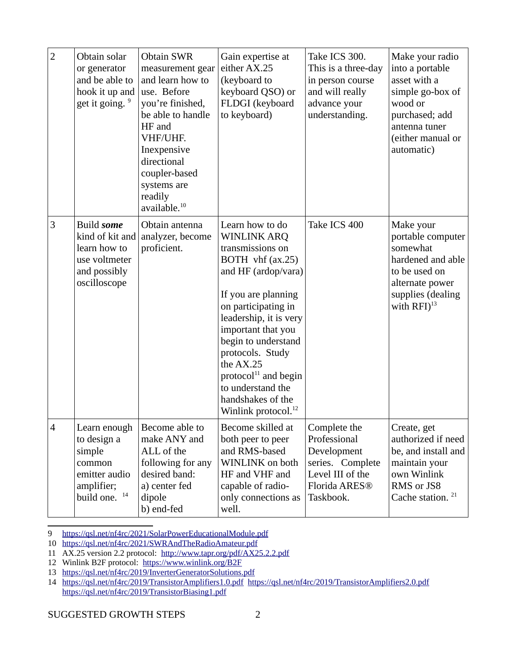| $\overline{2}$ | Obtain solar<br>or generator<br>and be able to<br>hook it up and<br>get it going. <sup>9</sup>             | <b>Obtain SWR</b><br>measurement gear<br>and learn how to<br>use. Before<br>you're finished,<br>be able to handle<br>HF and<br>VHF/UHF.<br>Inexpensive<br>directional<br>coupler-based<br>systems are<br>readily<br>available. <sup>10</sup> | Gain expertise at<br>either AX.25<br>(keyboard to<br>keyboard QSO) or<br>FLDGI (keyboard<br>to keyboard)                                                                                                                                                                                                                                                          | Take ICS 300.<br>This is a three-day<br>in person course<br>and will really<br>advance your<br>understanding.                 | Make your radio<br>into a portable<br>asset with a<br>simple go-box of<br>wood or<br>purchased; add<br>antenna tuner<br>(either manual or<br>automatic) |
|----------------|------------------------------------------------------------------------------------------------------------|----------------------------------------------------------------------------------------------------------------------------------------------------------------------------------------------------------------------------------------------|-------------------------------------------------------------------------------------------------------------------------------------------------------------------------------------------------------------------------------------------------------------------------------------------------------------------------------------------------------------------|-------------------------------------------------------------------------------------------------------------------------------|---------------------------------------------------------------------------------------------------------------------------------------------------------|
| 3              | Build some<br>kind of kit and<br>learn how to<br>use voltmeter<br>and possibly<br>oscilloscope             | Obtain antenna<br>analyzer, become<br>proficient.                                                                                                                                                                                            | Learn how to do<br><b>WINLINK ARQ</b><br>transmissions on<br>BOTH vhf (ax.25)<br>and HF (ardop/vara)<br>If you are planning<br>on participating in<br>leadership, it is very<br>important that you<br>begin to understand<br>protocols. Study<br>the AX.25<br>$protocol11$ and begin<br>to understand the<br>handshakes of the<br>Winlink protocol. <sup>12</sup> | Take ICS 400                                                                                                                  | Make your<br>portable computer<br>somewhat<br>hardened and able<br>to be used on<br>alternate power<br>supplies (dealing<br>with $RFI)^{13}$            |
| 4              | Learn enough<br>to design a<br>simple<br>common<br>emitter audio<br>amplifier;<br>build one. <sup>14</sup> | Become able to<br>make ANY and<br>ALL of the<br>following for any<br>desired band:<br>a) center fed<br>dipole<br>b) end-fed                                                                                                                  | Become skilled at<br>both peer to peer<br>and RMS-based<br>WINLINK on both<br>HF and VHF and<br>capable of radio-<br>only connections as<br>well.                                                                                                                                                                                                                 | Complete the<br>Professional<br>Development<br>series. Complete<br>Level III of the<br>Florida ARES <sup>®</sup><br>Taskbook. | Create, get<br>authorized if need<br>be, and install and<br>maintain your<br>own Winlink<br>RMS or JS8<br>Cache station. <sup>21</sup>                  |

<span id="page-1-0"></span>9<https://qsl.net/nf4rc/2021/SolarPowerEducationalModule.pdf>

<span id="page-1-1"></span><sup>10</sup> <https://qsl.net/nf4rc/2021/SWRAndTheRadioAmateur.pdf>

<span id="page-1-2"></span><sup>11</sup> AX.25 version 2.2 protocol: <http://www.tapr.org/pdf/AX25.2.2.pdf>

<span id="page-1-3"></span><sup>12</sup> Winlink B2F protocol: <https://www.winlink.org/B2F>

<span id="page-1-4"></span><sup>13</sup><https://qsl.net/nf4rc/2019/InverterGeneratorSolutions.pdf>

<span id="page-1-5"></span><sup>14</sup> <https://qsl.net/nf4rc/2019/TransistorAmplifiers1.0.pdf> <https://qsl.net/nf4rc/2019/TransistorAmplifiers2.0.pdf> <https://qsl.net/nf4rc/2019/TransistorBiasing1.pdf>